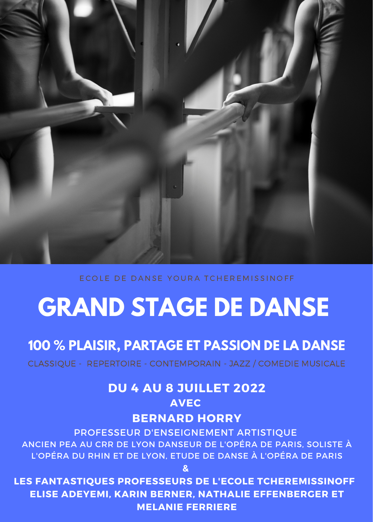

E COLE DE DANSE YOURA TCHEREMISSINOFE

# **GRAND STAGE DE DANSE**

# **100 % PLAISIR, PARTAGE ET PASSION DE LA DANSE**

CLASSIQUE - REPERTOIRE - CONTEMPORAIN - JAZZ / COMEDIE MUSICALE

### **DU 4 AU 8 JUILLET 2022**

### **AVEC**

### **BERNARD HORRY**

PROFESSEUR D'ENSEIGNEMENT ARTISTIQUE ANCIEN PEA AU CRR DE LYON DANSEUR DE L'OPÉRA DE PARIS, SOLISTE À L'OPÉRA DU RHIN ET DE LYON, ETUDE DE DANSE À L'OPÉRA DE PARIS

**&**

**LES FANTASTIQUES PROFESSEURS DE L'ECOLE TCHEREMISSINOFF ELISE ADEYEMI, KARIN BERNER, NATHALIE EFFENBERGER ET MELANIE FERRIERE**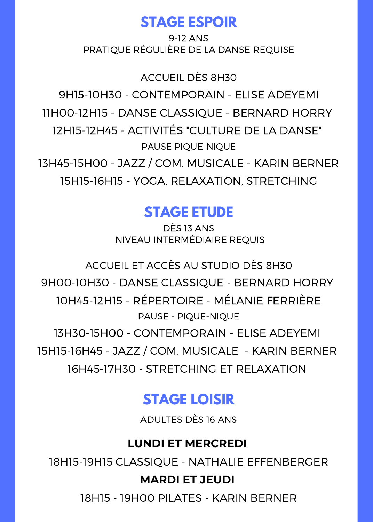### **STAGE ESPOIR**

9-12 ANS PRATIQUE RÉGULIÈRE DE LA DANSE REQUISE

ACCUEIL DÈS 8H30 9H15-10H30 - CONTEMPORAIN - ELISE ADEYEMI 11H00-12H15 - DANSE CLASSIQUE - BERNARD HORRY 12H15-12H45 - ACTIVITÉS "CULTURE DE LA DANSE" PAUSE PIQUE-NIQUE 13H45-15H00 -JAZZ / COM. MUSICALE - KARIN BERNER 15H15-16H15 - YOGA, RELAXATION, STRETCHING

# **STAGE ETUDE**

DÈS 13 ANS NIVEAU INTERMÉDIAIRE REQUIS

ACCUEIL ET ACCÈS AU STUDIO DÈS 8H30 9H00-10H30 - DANSE CLASSIQUE - BERNARD HORRY 10H45-12H15 - RÉPERTOIRE - MÉLANIE FERRIÈRE PAUSE - PIQUE-NIQUE 13H30-15H00 - CONTEMPORAIN - ELISE ADEYEMI 15H15-16H45 - JAZZ /COM. MUSICALE - KARIN BERNER 16H45-17H30 - STRETCHING ET RELAXATION

# **STAGE LOISIR**

ADULTES DÈS 16 ANS

### **LUNDI ET MERCREDI**

18H15-19H15 CLASSIQUE - NATHALIE EFFENBERGER

### **MARDI ET JEUDI**

18H15 - 19H00 PILATES - KARIN BERNER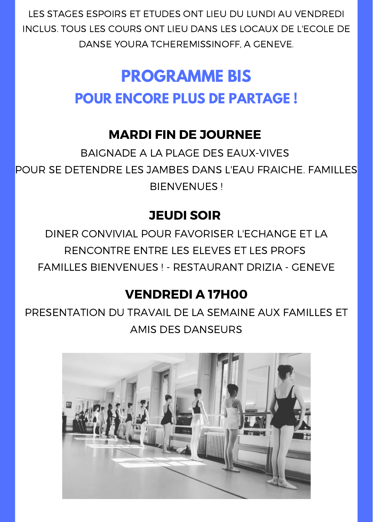LES STAGES ESPOIRS ET ETUDES ONT LIEU DU LUNDI AU VENDREDI INCLUS. TOUS LES COURS ONT LIEU DANS LES LOCAUX DE L'ECOLE DE DANSE YOURA TCHEREMISSINOFF, A GENEVE.

# **PROGRAMME BIS POUR ENCORE PLUS DE PARTAGE !**

# **MARDI FIN DE JOURNEE**

BAIGNADE A LA PLAGE DES EAUX-VIVES POUR SE DETENDRE LES JAMBES DANS L'EAU FRAICHE. FAMILLES BIENVENUES !

# **JEUDI SOIR**

DINER CONVIVIAL POUR FAVORISER L'ECHANGE ET LA RENCONTRE ENTRE LES ELEVES ET LES PROFS FAMILLES BIENVENUES ! - RESTAURANT DRIZIA - GENEVE

### **VENDREDI A 17H00**

PRESENTATION DU TRAVAIL DE LA SEMAINE AUX FAMILLES ET AMIS DES DANSEURS

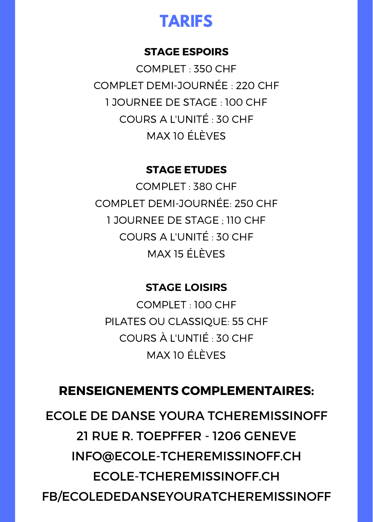# **TARIFS**

#### **STAGE ESPOIRS**

COMPLET : 350 CHF COMPLET DEMI-JOURNÉE : 220 CHF 1 JOURNEE DE STAGE : 100 CHF COURS A L'UNITÉ : 30 CHF MAX 10 ÉLÈVES

#### **STAGE ETUDES**

COMPLET : 380 CHF COMPLET DEMI-JOURNÉE: 250 CHF 1 JOURNEE DE STAGE ; 110 CHF COURS A L'UNITÉ : 30 CHF MAX 15 ÉLÈVES

### **STAGE LOISIRS**

COMPLET : 100 CHF PILATES OU CLASSIQUE: 55 CHF COURS À L'UNTIÉ : 30 CHF MAX 10 ÉLÈVES

### **RENSEIGNEMENTS COMPLEMENTAIRES:**

ECOLE DE DANSE YOURA TCHEREMISSINOFF 21 RUE R. TOEPFFER - 1206 GENEVE INFO@ECOLE-TCHEREMISSINOFF.CH ECOLE-TCHEREMISSINOFF.CH FB/ECOLEDEDANSEYOURATCHEREMISSINOFF